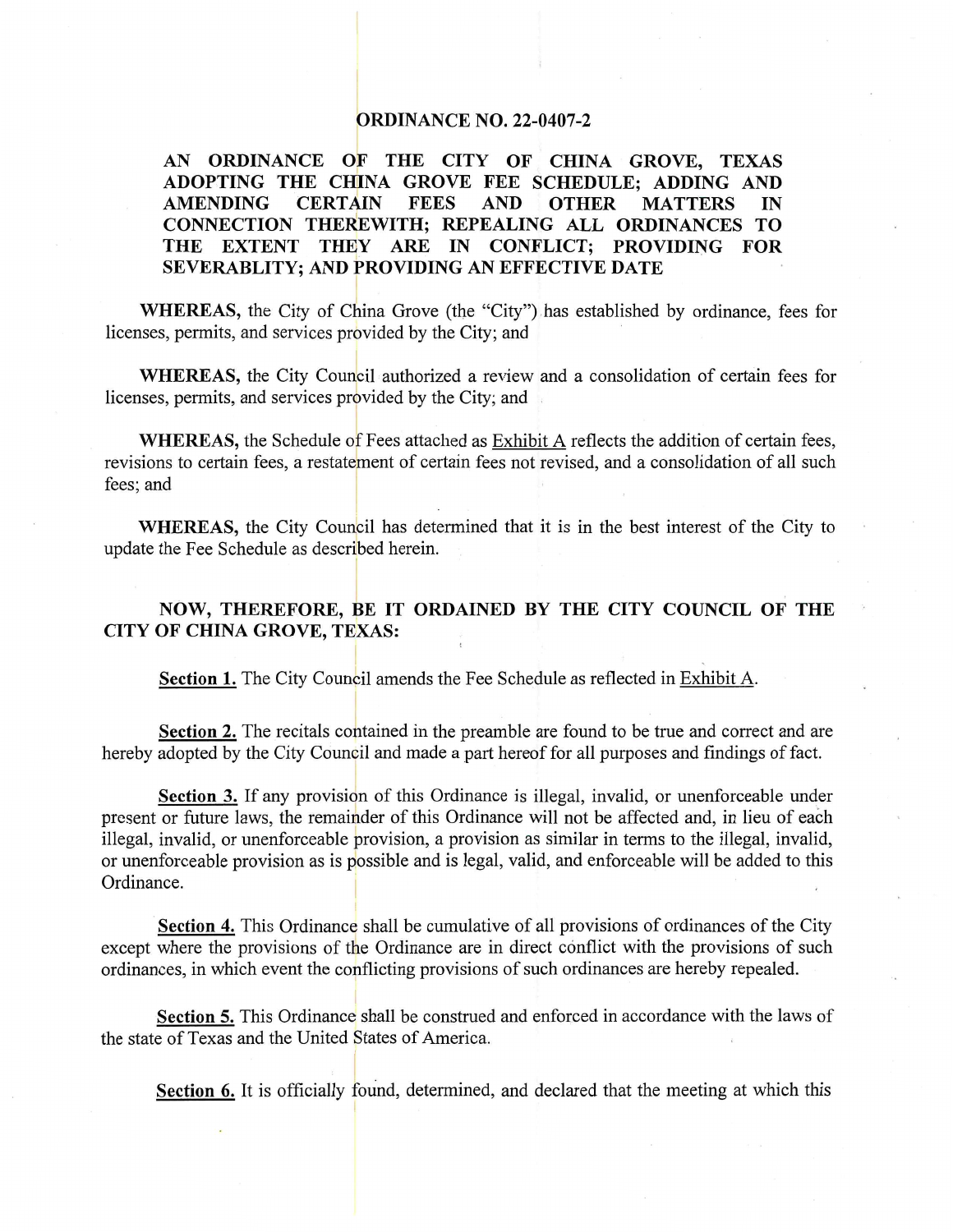#### **ORDINANCE NO. 22-0407-2**

#### AN ORDINANCE OF THE CITY OF CHINA GROVE, TEXAS ADOPTING THE CHINA GROVE FEE SCHEDULE; ADDING AND **AMENDING CERTAIN FEES AND OTHER MATTERS** IN CONNECTION THEREWITH; REPEALING ALL ORDINANCES TO THE EXTENT THEY ARE IN CONFLICT; PROVIDING FOR SEVERABLITY; AND PROVIDING AN EFFECTIVE DATE

WHEREAS, the City of China Grove (the "City") has established by ordinance, fees for licenses, permits, and services provided by the City; and

WHEREAS, the City Council authorized a review and a consolidation of certain fees for licenses, permits, and services provided by the City; and

**WHEREAS**, the Schedule of Fees attached as Exhibit A reflects the addition of certain fees, revisions to certain fees, a restatement of certain fees not revised, and a consolidation of all such fees; and

**WHEREAS**, the City Council has determined that it is in the best interest of the City to update the Fee Schedule as described herein.

### NOW, THEREFORE, BE IT ORDAINED BY THE CITY COUNCIL OF THE CITY OF CHINA GROVE, TEXAS:

Section 1. The City Council amends the Fee Schedule as reflected in Exhibit A.

Section 2. The recitals contained in the preamble are found to be true and correct and are hereby adopted by the City Council and made a part hereof for all purposes and findings of fact.

**Section 3.** If any provision of this Ordinance is illegal, invalid, or unenforceable under present or future laws, the remainder of this Ordinance will not be affected and, in lieu of each illegal, invalid, or unenforceable provision, a provision as similar in terms to the illegal, invalid, or unenforceable provision as is possible and is legal, valid, and enforceable will be added to this Ordinance.

Section 4. This Ordinance shall be cumulative of all provisions of ordinances of the City except where the provisions of the Ordinance are in direct conflict with the provisions of such ordinances, in which event the conflicting provisions of such ordinances are hereby repealed.

**Section 5.** This Ordinance shall be construed and enforced in accordance with the laws of the state of Texas and the United States of America.

**Section 6.** It is officially found, determined, and declared that the meeting at which this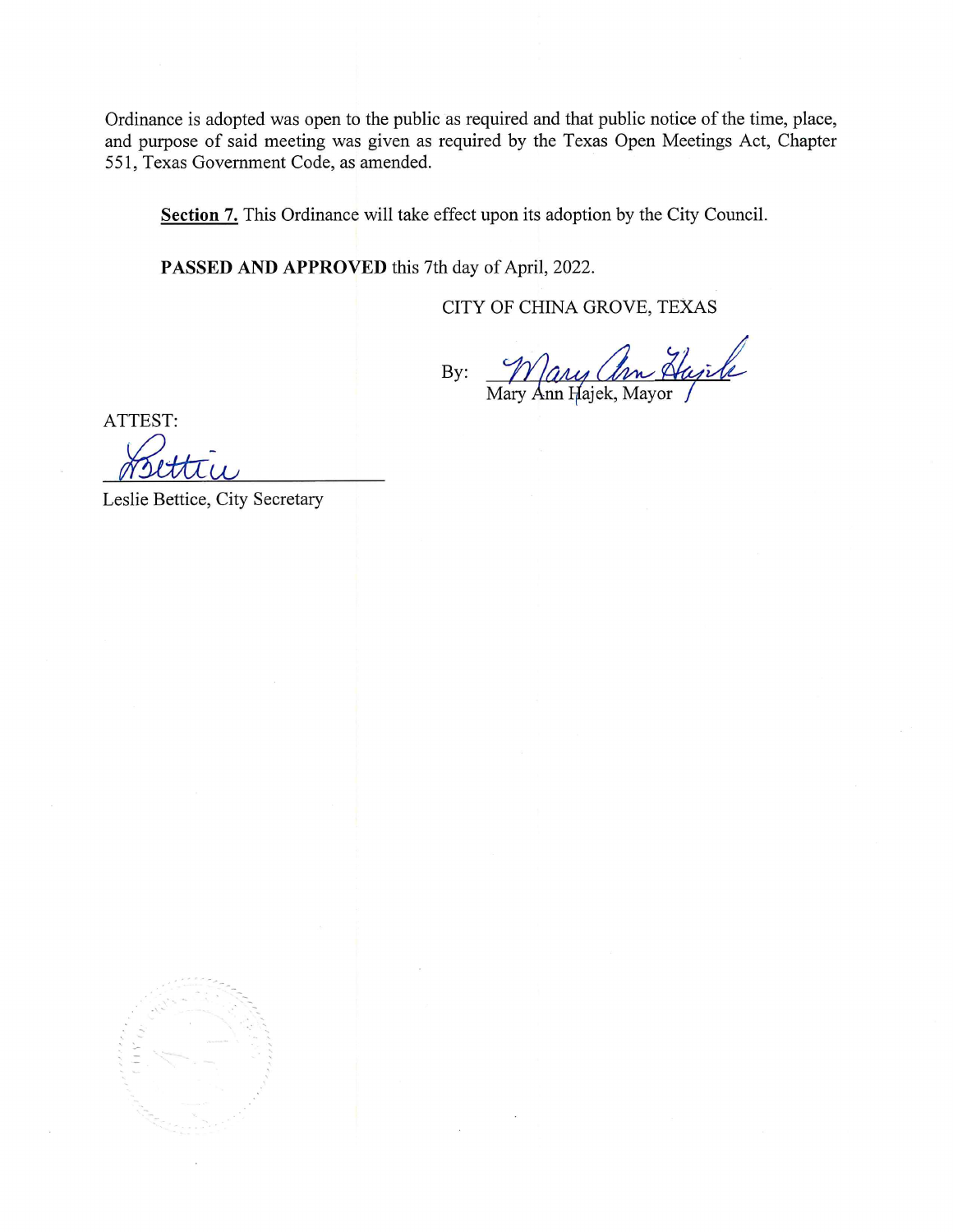Ordinance is adopted was open to the public as required and that public notice of the time, place, and purpose of said meeting was given as required by the Texas Open Meetings Act, Chapter 551, Texas Government Code, as amended.

Section 7. This Ordinance will take effect upon its adoption by the City Council.

PASSED AND APPROVED this 7th day of April, 2022.

CITY OF CHINA GROVE, TEXAS

By: <u>Mary Am A</u><br>Mary Ann Hajek, Mayor

ATTEST:

Leslie Bettice, City Secretary

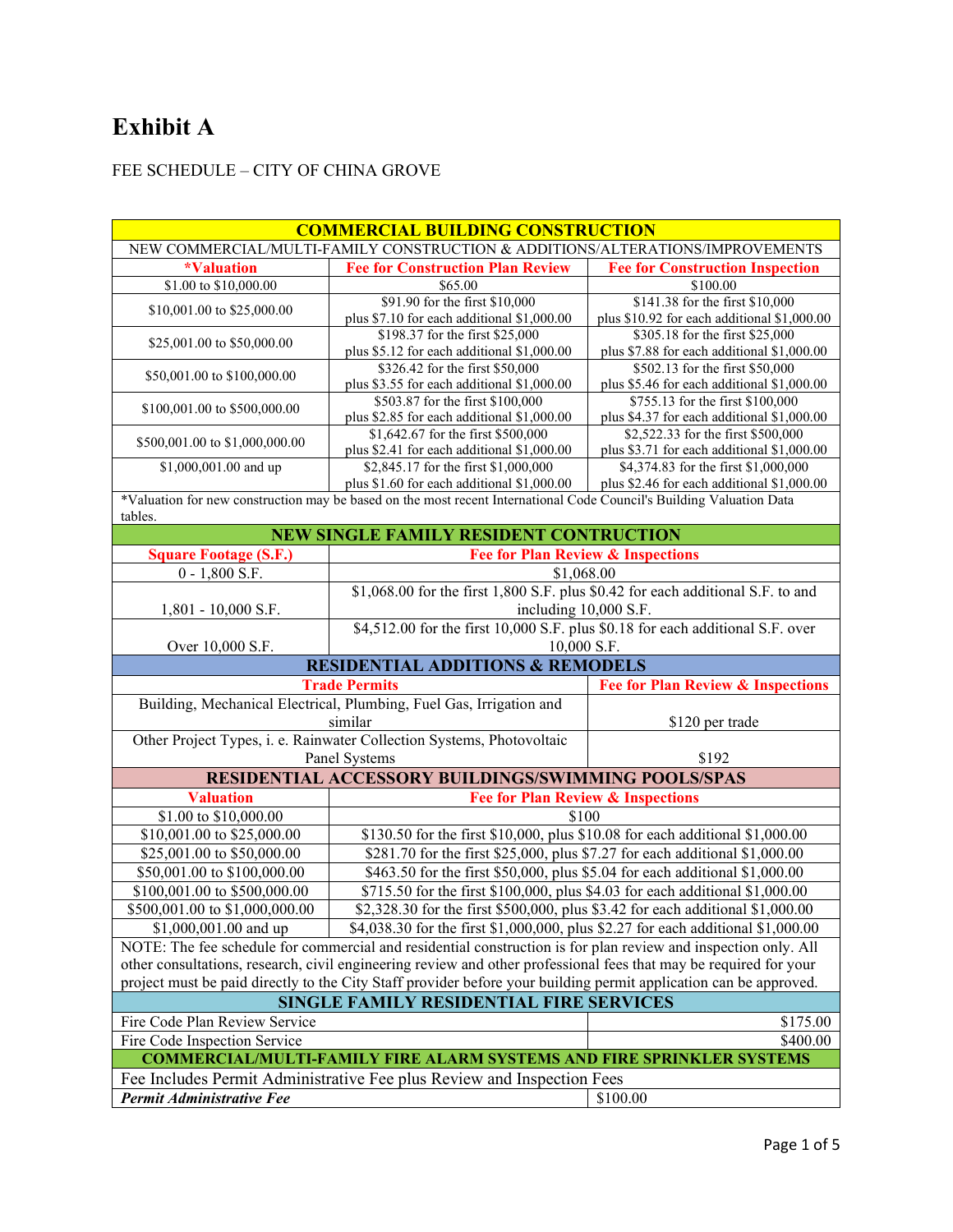# **Exhibit A**

## FEE SCHEDULE – CITY OF CHINA GROVE

| <b>COMMERCIAL BUILDING CONSTRUCTION</b>                                                                                                                                                                                                |                                                                                                                      |                                                                                |  |
|----------------------------------------------------------------------------------------------------------------------------------------------------------------------------------------------------------------------------------------|----------------------------------------------------------------------------------------------------------------------|--------------------------------------------------------------------------------|--|
| NEW COMMERCIAL/MULTI-FAMILY CONSTRUCTION & ADDITIONS/ALTERATIONS/IMPROVEMENTS                                                                                                                                                          |                                                                                                                      |                                                                                |  |
| <i><b>*Valuation</b></i>                                                                                                                                                                                                               | <b>Fee for Construction Plan Review</b>                                                                              | <b>Fee for Construction Inspection</b>                                         |  |
| \$1.00 to \$10,000.00                                                                                                                                                                                                                  | \$65.00                                                                                                              | \$100.00                                                                       |  |
| \$10,001.00 to \$25,000.00                                                                                                                                                                                                             | \$91.90 for the first \$10,000                                                                                       | \$141.38 for the first \$10,000                                                |  |
|                                                                                                                                                                                                                                        | plus \$7.10 for each additional \$1,000.00                                                                           | plus \$10.92 for each additional \$1,000.00                                    |  |
| \$25,001.00 to \$50,000.00                                                                                                                                                                                                             | \$198.37 for the first \$25,000                                                                                      | \$305.18 for the first \$25,000                                                |  |
|                                                                                                                                                                                                                                        | plus \$5.12 for each additional \$1,000.00                                                                           | plus \$7.88 for each additional \$1,000.00                                     |  |
| \$50,001.00 to \$100,000.00                                                                                                                                                                                                            | \$326.42 for the first \$50,000<br>plus \$3.55 for each additional \$1,000.00                                        | \$502.13 for the first \$50,000<br>plus \$5.46 for each additional \$1,000.00  |  |
|                                                                                                                                                                                                                                        | \$503.87 for the first \$100,000                                                                                     | \$755.13 for the first \$100,000                                               |  |
| \$100,001.00 to \$500,000.00                                                                                                                                                                                                           | plus \$2.85 for each additional \$1,000.00                                                                           | plus \$4.37 for each additional \$1,000.00                                     |  |
|                                                                                                                                                                                                                                        | \$1,642.67 for the first \$500,000                                                                                   | \$2,522.33 for the first \$500,000                                             |  |
| \$500,001.00 to \$1,000,000.00                                                                                                                                                                                                         | plus \$2.41 for each additional \$1,000.00                                                                           | plus \$3.71 for each additional \$1,000.00                                     |  |
| \$1,000,001.00 and up                                                                                                                                                                                                                  | \$2,845.17 for the first \$1,000,000                                                                                 | \$4,374.83 for the first \$1,000,000                                           |  |
|                                                                                                                                                                                                                                        | plus \$1.60 for each additional \$1,000.00                                                                           | plus \$2.46 for each additional \$1,000.00                                     |  |
|                                                                                                                                                                                                                                        | *Valuation for new construction may be based on the most recent International Code Council's Building Valuation Data |                                                                                |  |
| tables.                                                                                                                                                                                                                                |                                                                                                                      |                                                                                |  |
|                                                                                                                                                                                                                                        | <b>NEW SINGLE FAMILY RESIDENT CONTRUCTION</b>                                                                        |                                                                                |  |
| <b>Square Footage (S.F.)</b>                                                                                                                                                                                                           | <b>Fee for Plan Review &amp; Inspections</b>                                                                         |                                                                                |  |
| $0 - 1,800$ S.F.                                                                                                                                                                                                                       | \$1,068.00                                                                                                           |                                                                                |  |
|                                                                                                                                                                                                                                        | \$1,068.00 for the first 1,800 S.F. plus \$0.42 for each additional S.F. to and                                      |                                                                                |  |
| 1,801 - 10,000 S.F.                                                                                                                                                                                                                    | including 10,000 S.F.                                                                                                |                                                                                |  |
|                                                                                                                                                                                                                                        | \$4,512.00 for the first 10,000 S.F. plus \$0.18 for each additional S.F. over                                       |                                                                                |  |
| Over 10,000 S.F.                                                                                                                                                                                                                       | 10,000 S.F.                                                                                                          |                                                                                |  |
|                                                                                                                                                                                                                                        | <b>RESIDENTIAL ADDITIONS &amp; REMODELS</b>                                                                          |                                                                                |  |
|                                                                                                                                                                                                                                        | <b>Trade Permits</b>                                                                                                 | <b>Fee for Plan Review &amp; Inspections</b>                                   |  |
|                                                                                                                                                                                                                                        | Building, Mechanical Electrical, Plumbing, Fuel Gas, Irrigation and                                                  |                                                                                |  |
|                                                                                                                                                                                                                                        | similar                                                                                                              | \$120 per trade                                                                |  |
|                                                                                                                                                                                                                                        | Other Project Types, i. e. Rainwater Collection Systems, Photovoltaic                                                |                                                                                |  |
|                                                                                                                                                                                                                                        | Panel Systems<br>\$192                                                                                               |                                                                                |  |
|                                                                                                                                                                                                                                        | RESIDENTIAL ACCESSORY BUILDINGS/SWIMMING POOLS/SPAS                                                                  |                                                                                |  |
| <b>Valuation</b>                                                                                                                                                                                                                       | <b>Fee for Plan Review &amp; Inspections</b>                                                                         |                                                                                |  |
| \$1.00 to \$10,000.00                                                                                                                                                                                                                  | \$100                                                                                                                |                                                                                |  |
| \$10,001.00 to \$25,000.00                                                                                                                                                                                                             | \$130.50 for the first \$10,000, plus \$10.08 for each additional \$1,000.00                                         |                                                                                |  |
| \$25,001.00 to \$50,000.00                                                                                                                                                                                                             | \$281.70 for the first \$25,000, plus \$7.27 for each additional \$1,000.00                                          |                                                                                |  |
| \$50,001.00 to \$100,000.00                                                                                                                                                                                                            | \$463.50 for the first \$50,000, plus \$5.04 for each additional \$1,000.00                                          |                                                                                |  |
| \$100,001.00 to \$500,000.00                                                                                                                                                                                                           | \$715.50 for the first \$100,000, plus \$4.03 for each additional \$1,000.00                                         |                                                                                |  |
| \$500,001.00 to \$1,000,000.00                                                                                                                                                                                                         |                                                                                                                      | \$2,328.30 for the first \$500,000, plus \$3.42 for each additional \$1,000.00 |  |
| \$1,000,001.00 and up                                                                                                                                                                                                                  | \$4,038.30 for the first \$1,000,000, plus \$2.27 for each additional \$1,000.00                                     |                                                                                |  |
|                                                                                                                                                                                                                                        | NOTE: The fee schedule for commercial and residential construction is for plan review and inspection only. All       |                                                                                |  |
|                                                                                                                                                                                                                                        |                                                                                                                      |                                                                                |  |
| other consultations, research, civil engineering review and other professional fees that may be required for your<br>project must be paid directly to the City Staff provider before your building permit application can be approved. |                                                                                                                      |                                                                                |  |
| <b>SINGLE FAMILY RESIDENTIAL FIRE SERVICES</b>                                                                                                                                                                                         |                                                                                                                      |                                                                                |  |
|                                                                                                                                                                                                                                        |                                                                                                                      |                                                                                |  |
| Fire Code Plan Review Service                                                                                                                                                                                                          |                                                                                                                      | \$175.00                                                                       |  |
| Fire Code Inspection Service<br>\$400.00                                                                                                                                                                                               |                                                                                                                      |                                                                                |  |
| <b>COMMERCIAL/MULTI-FAMILY FIRE ALARM SYSTEMS AND FIRE SPRINKLER SYSTEMS</b><br>Fee Includes Permit Administrative Fee plus Review and Inspection Fees                                                                                 |                                                                                                                      |                                                                                |  |
|                                                                                                                                                                                                                                        |                                                                                                                      |                                                                                |  |
| Permit Administrative Fee<br>\$100.00                                                                                                                                                                                                  |                                                                                                                      |                                                                                |  |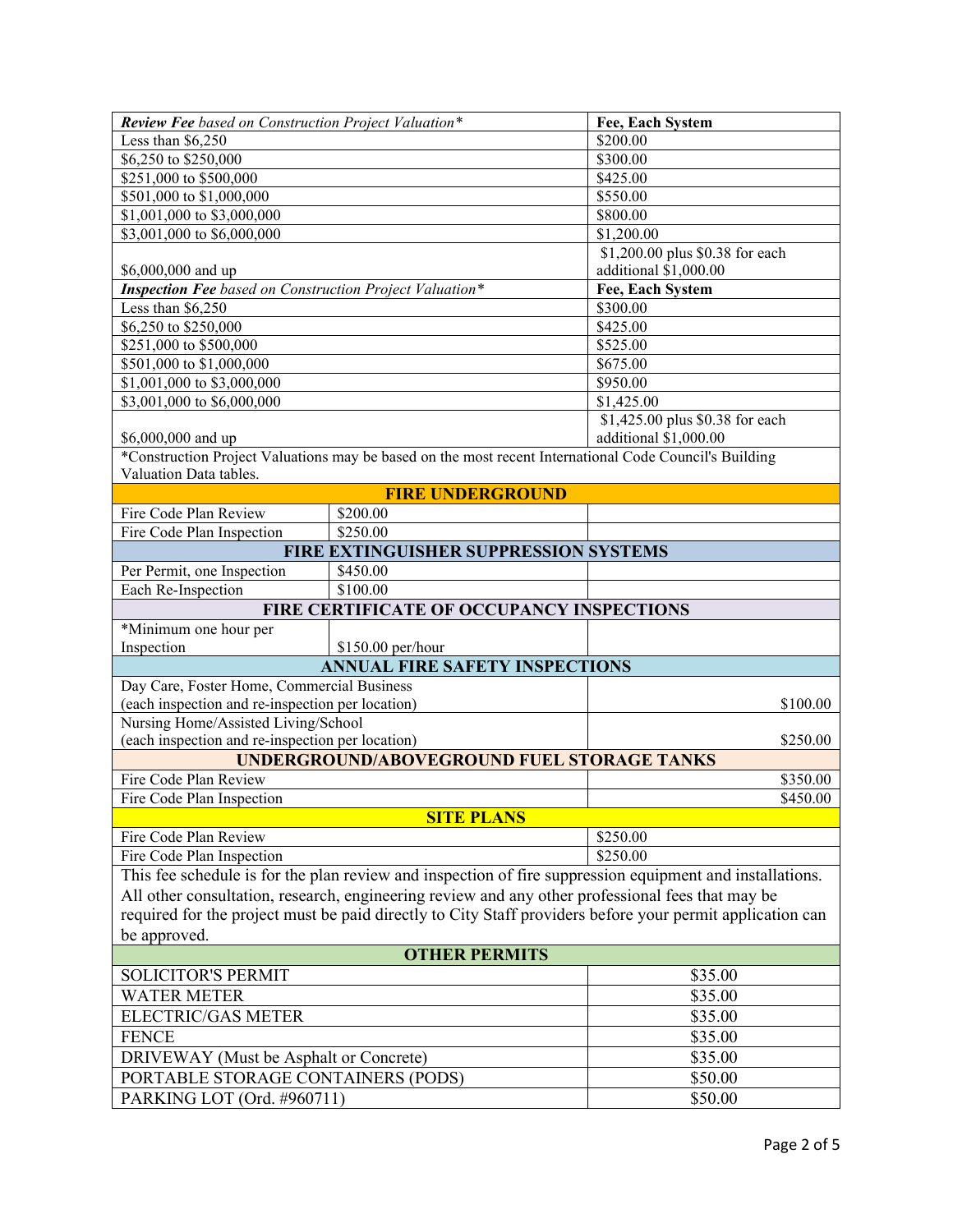| Review Fee based on Construction Project Valuation*                                                       |                                                                                                        | Fee, Each System                |
|-----------------------------------------------------------------------------------------------------------|--------------------------------------------------------------------------------------------------------|---------------------------------|
| Less than $$6,250$                                                                                        |                                                                                                        | \$200.00                        |
| \$6,250 to \$250,000                                                                                      |                                                                                                        | \$300.00                        |
| \$251,000 to \$500,000                                                                                    |                                                                                                        | \$425.00                        |
| \$501,000 to \$1,000,000                                                                                  |                                                                                                        | \$550.00                        |
| \$1,001,000 to \$3,000,000                                                                                |                                                                                                        | \$800.00                        |
| \$3,001,000 to \$6,000,000                                                                                |                                                                                                        | \$1,200.00                      |
|                                                                                                           |                                                                                                        | \$1,200.00 plus \$0.38 for each |
| \$6,000,000 and up                                                                                        |                                                                                                        | additional \$1,000.00           |
| <b>Inspection Fee</b> based on Construction Project Valuation*                                            |                                                                                                        | Fee, Each System                |
| Less than $$6,250$                                                                                        |                                                                                                        | \$300.00                        |
| $\overline{$6,250}$$ to \$250,000                                                                         |                                                                                                        | \$425.00                        |
| \$251,000 to \$500,000                                                                                    |                                                                                                        | \$525.00                        |
| \$501,000 to \$1,000,000                                                                                  |                                                                                                        | \$675.00                        |
| \$1,001,000 to \$3,000,000                                                                                |                                                                                                        | \$950.00                        |
| \$3,001,000 to \$6,000,000                                                                                |                                                                                                        | \$1,425.00                      |
|                                                                                                           |                                                                                                        | \$1,425.00 plus \$0.38 for each |
| \$6,000,000 and up                                                                                        |                                                                                                        | additional \$1,000.00           |
| Valuation Data tables.                                                                                    | *Construction Project Valuations may be based on the most recent International Code Council's Building |                                 |
|                                                                                                           | <b>FIRE UNDERGROUND</b>                                                                                |                                 |
| Fire Code Plan Review                                                                                     | \$200.00                                                                                               |                                 |
| Fire Code Plan Inspection                                                                                 | \$250.00                                                                                               |                                 |
| FIRE EXTINGUISHER SUPPRESSION SYSTEMS                                                                     |                                                                                                        |                                 |
| Per Permit, one Inspection                                                                                | \$450.00                                                                                               |                                 |
| Each Re-Inspection                                                                                        | \$100.00                                                                                               |                                 |
|                                                                                                           | FIRE CERTIFICATE OF OCCUPANCY INSPECTIONS                                                              |                                 |
| *Minimum one hour per                                                                                     |                                                                                                        |                                 |
| Inspection                                                                                                | \$150.00 per/hour                                                                                      |                                 |
|                                                                                                           | <b>ANNUAL FIRE SAFETY INSPECTIONS</b>                                                                  |                                 |
| Day Care, Foster Home, Commercial Business                                                                |                                                                                                        |                                 |
| (each inspection and re-inspection per location)                                                          |                                                                                                        | \$100.00                        |
| Nursing Home/Assisted Living/School                                                                       |                                                                                                        |                                 |
| (each inspection and re-inspection per location)                                                          |                                                                                                        | \$250.00                        |
|                                                                                                           | <b>UNDERGROUND/ABOVEGROUND FUEL STORAGE TANKS</b>                                                      |                                 |
| Fire Code Plan Review                                                                                     |                                                                                                        | \$350.00                        |
| Fire Code Plan Inspection                                                                                 |                                                                                                        | \$450.00                        |
|                                                                                                           | <b>SITE PLANS</b>                                                                                      |                                 |
| Fire Code Plan Review                                                                                     |                                                                                                        | \$250.00                        |
| Fire Code Plan Inspection                                                                                 |                                                                                                        | \$250.00                        |
| This fee schedule is for the plan review and inspection of fire suppression equipment and installations.  |                                                                                                        |                                 |
| All other consultation, research, engineering review and any other professional fees that may be          |                                                                                                        |                                 |
| required for the project must be paid directly to City Staff providers before your permit application can |                                                                                                        |                                 |
| be approved.                                                                                              |                                                                                                        |                                 |
| <b>OTHER PERMITS</b>                                                                                      |                                                                                                        |                                 |
| <b>SOLICITOR'S PERMIT</b>                                                                                 |                                                                                                        | \$35.00                         |
| <b>WATER METER</b>                                                                                        |                                                                                                        | \$35.00                         |
| <b>ELECTRIC/GAS METER</b>                                                                                 |                                                                                                        | \$35.00                         |
| <b>FENCE</b>                                                                                              |                                                                                                        | \$35.00                         |
| DRIVEWAY (Must be Asphalt or Concrete)                                                                    |                                                                                                        | \$35.00                         |
| PORTABLE STORAGE CONTAINERS (PODS)                                                                        |                                                                                                        | \$50.00                         |
| PARKING LOT (Ord. #960711)                                                                                |                                                                                                        | \$50.00                         |
|                                                                                                           |                                                                                                        |                                 |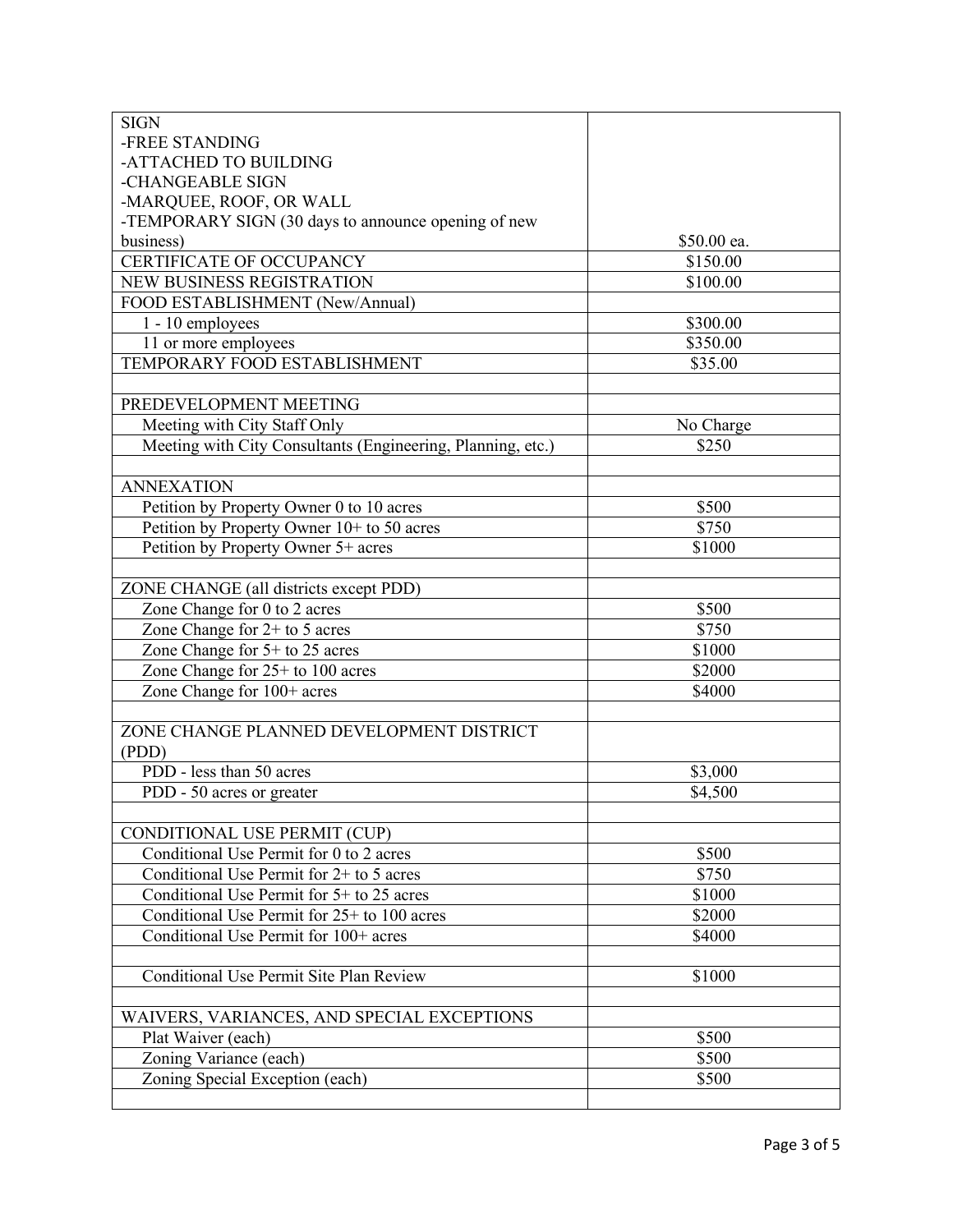| <b>SIGN</b>                                                 |             |
|-------------------------------------------------------------|-------------|
| -FREE STANDING                                              |             |
| -ATTACHED TO BUILDING                                       |             |
| -CHANGEABLE SIGN                                            |             |
| -MARQUEE, ROOF, OR WALL                                     |             |
| -TEMPORARY SIGN (30 days to announce opening of new         |             |
| business)                                                   | \$50.00 ea. |
| CERTIFICATE OF OCCUPANCY                                    | \$150.00    |
| <b>NEW BUSINESS REGISTRATION</b>                            | \$100.00    |
| FOOD ESTABLISHMENT (New/Annual)                             |             |
| 1 - 10 employees                                            | \$300.00    |
| 11 or more employees                                        | \$350.00    |
| TEMPORARY FOOD ESTABLISHMENT                                | \$35.00     |
|                                                             |             |
| PREDEVELOPMENT MEETING                                      |             |
| Meeting with City Staff Only                                | No Charge   |
| Meeting with City Consultants (Engineering, Planning, etc.) | \$250       |
|                                                             |             |
| <b>ANNEXATION</b>                                           |             |
| Petition by Property Owner 0 to 10 acres                    | \$500       |
| Petition by Property Owner 10+ to 50 acres                  | \$750       |
| Petition by Property Owner 5+ acres                         | \$1000      |
|                                                             |             |
| ZONE CHANGE (all districts except PDD)                      |             |
| Zone Change for 0 to 2 acres                                | \$500       |
| Zone Change for $2+$ to 5 acres                             | \$750       |
| Zone Change for 5+ to 25 acres                              | \$1000      |
| Zone Change for $25+$ to 100 acres                          | \$2000      |
| Zone Change for 100+ acres                                  | \$4000      |
|                                                             |             |
| ZONE CHANGE PLANNED DEVELOPMENT DISTRICT                    |             |
| (PDD)                                                       |             |
| PDD - less than 50 acres                                    | \$3,000     |
| PDD - 50 acres or greater                                   | \$4,500     |
|                                                             |             |
| CONDITIONAL USE PERMIT (CUP)                                |             |
| Conditional Use Permit for 0 to 2 acres                     | \$500       |
| Conditional Use Permit for $2+$ to 5 acres                  | \$750       |
| Conditional Use Permit for 5+ to 25 acres                   | \$1000      |
| Conditional Use Permit for $25+$ to 100 acres               | \$2000      |
| Conditional Use Permit for 100+ acres                       | \$4000      |
|                                                             |             |
| Conditional Use Permit Site Plan Review                     | \$1000      |
|                                                             |             |
| WAIVERS, VARIANCES, AND SPECIAL EXCEPTIONS                  |             |
| Plat Waiver (each)                                          | \$500       |
| Zoning Variance (each)                                      | \$500       |
| Zoning Special Exception (each)                             | \$500       |
|                                                             |             |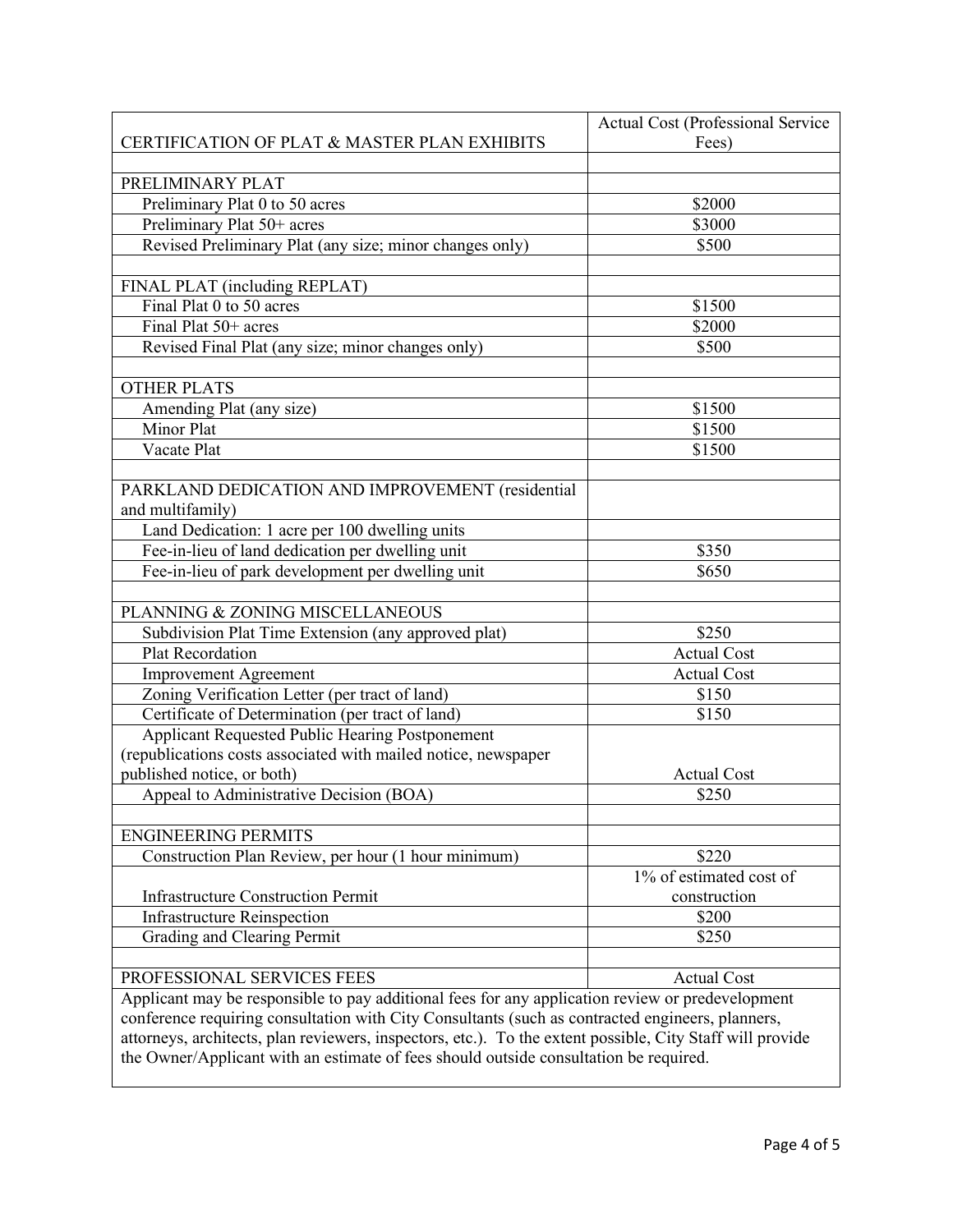|                                                                                                           | Actual Cost (Professional Service |  |
|-----------------------------------------------------------------------------------------------------------|-----------------------------------|--|
| CERTIFICATION OF PLAT & MASTER PLAN EXHIBITS                                                              | Fees)                             |  |
|                                                                                                           |                                   |  |
| PRELIMINARY PLAT                                                                                          |                                   |  |
| Preliminary Plat 0 to 50 acres                                                                            | \$2000                            |  |
| Preliminary Plat 50+ acres                                                                                | \$3000                            |  |
| Revised Preliminary Plat (any size; minor changes only)                                                   | \$500                             |  |
|                                                                                                           |                                   |  |
| FINAL PLAT (including REPLAT)                                                                             |                                   |  |
| Final Plat 0 to 50 acres                                                                                  | \$1500                            |  |
| Final Plat 50+ acres                                                                                      | \$2000                            |  |
| Revised Final Plat (any size; minor changes only)                                                         | \$500                             |  |
|                                                                                                           |                                   |  |
| <b>OTHER PLATS</b>                                                                                        |                                   |  |
| Amending Plat (any size)                                                                                  | \$1500                            |  |
| Minor Plat                                                                                                | \$1500                            |  |
| Vacate Plat                                                                                               | \$1500                            |  |
|                                                                                                           |                                   |  |
| PARKLAND DEDICATION AND IMPROVEMENT (residential                                                          |                                   |  |
| and multifamily)                                                                                          |                                   |  |
| Land Dedication: 1 acre per 100 dwelling units                                                            |                                   |  |
| Fee-in-lieu of land dedication per dwelling unit                                                          | \$350                             |  |
| Fee-in-lieu of park development per dwelling unit                                                         | \$650                             |  |
|                                                                                                           |                                   |  |
| PLANNING & ZONING MISCELLANEOUS                                                                           |                                   |  |
| Subdivision Plat Time Extension (any approved plat)                                                       | $\overline{$}250$                 |  |
| Plat Recordation                                                                                          | <b>Actual Cost</b>                |  |
| <b>Improvement Agreement</b>                                                                              | <b>Actual Cost</b>                |  |
| Zoning Verification Letter (per tract of land)                                                            | \$150                             |  |
| Certificate of Determination (per tract of land)                                                          | \$150                             |  |
| Applicant Requested Public Hearing Postponement                                                           |                                   |  |
| (republications costs associated with mailed notice, newspaper                                            |                                   |  |
| published notice, or both)                                                                                | <b>Actual Cost</b>                |  |
| Appeal to Administrative Decision (BOA)                                                                   | \$250                             |  |
|                                                                                                           |                                   |  |
| <b>ENGINEERING PERMITS</b>                                                                                |                                   |  |
| Construction Plan Review, per hour (1 hour minimum)                                                       | \$220                             |  |
|                                                                                                           | 1% of estimated cost of           |  |
| <b>Infrastructure Construction Permit</b>                                                                 | construction                      |  |
| <b>Infrastructure Reinspection</b>                                                                        | \$200                             |  |
| Grading and Clearing Permit                                                                               | \$250                             |  |
|                                                                                                           |                                   |  |
| PROFESSIONAL SERVICES FEES                                                                                | <b>Actual Cost</b>                |  |
| Applicant may be responsible to pay additional fees for any application review or predevelopment          |                                   |  |
| conference requiring consultation with City Consultants (such as contracted engineers, planners,          |                                   |  |
| attorneys, architects, plan reviewers, inspectors, etc.). To the extent possible, City Staff will provide |                                   |  |
| the Owner/Applicant with an estimate of fees should outside consultation be required.                     |                                   |  |